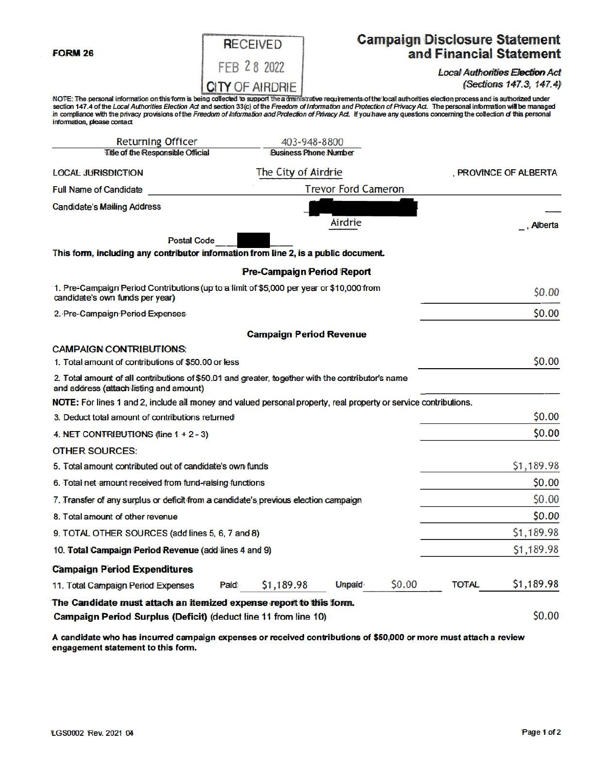**FORM 26** 

|                        | <b>RECEIVED</b> |             |  |  |  |  |
|------------------------|-----------------|-------------|--|--|--|--|
|                        |                 | FEB 28 2022 |  |  |  |  |
| <b>CITY OF AIRDRIE</b> |                 |             |  |  |  |  |

## **Campaign Disclosure Statement** and Financial Statement

**Local Authorities Election Act** (Sections 147.3, 147.4)

NOTE: The personal information on this form is being collected to support the administrative requirements of the local authorities election process and is authorized under<br>section 147.4 of the Local Authorities Election Ac information, please contact

| <b>Returning Officer</b>                                                                                                                     |                            | 403-948-8800                      |               |        |                       |            |
|----------------------------------------------------------------------------------------------------------------------------------------------|----------------------------|-----------------------------------|---------------|--------|-----------------------|------------|
| Title of the Responsible Official                                                                                                            |                            | <b>Business Phone Number</b>      |               |        |                       |            |
| <b>LOCAL JURISDICTION</b>                                                                                                                    | The City of Airdrie        |                                   |               |        | , PROVINCE OF ALBERTA |            |
| <b>Full Name of Candidate</b>                                                                                                                | <b>Trevor Ford Cameron</b> |                                   |               |        |                       |            |
| <b>Candidate's Mailing Address</b>                                                                                                           |                            |                                   |               |        |                       |            |
|                                                                                                                                              |                            |                                   | Airdrie       |        |                       | , Alberta  |
| <b>Postal Code</b>                                                                                                                           |                            |                                   |               |        |                       |            |
| This form, including any contributor information from line 2, is a public document.                                                          |                            |                                   |               |        |                       |            |
|                                                                                                                                              |                            | <b>Pre-Campaign Period Report</b> |               |        |                       |            |
| 1. Pre-Campaign Period Contributions (up to a limit of \$5,000 per year or \$10,000 from<br>candidate's own funds per year)                  |                            |                                   |               |        |                       | \$0.00     |
| 2. Pre-Campaign Period Expenses                                                                                                              |                            |                                   |               |        |                       | \$0.00     |
|                                                                                                                                              |                            | <b>Campaign Period Revenue</b>    |               |        |                       |            |
| <b>CAMPAIGN CONTRIBUTIONS:</b>                                                                                                               |                            |                                   |               |        |                       |            |
| 1. Total amount of contributions of \$50,00 or less                                                                                          |                            |                                   |               |        |                       | \$0.00     |
| 2. Total amount of all contributions of \$50.01 and greater, together with the contributor's name<br>and address (attach listing and amount) |                            |                                   |               |        |                       |            |
| NOTE: For lines 1 and 2, include all money and valued personal property, real property or service contributions.                             |                            |                                   |               |        |                       |            |
| 3. Deduct total amount of contributions returned                                                                                             |                            |                                   |               |        |                       | \$0.00     |
| 4. NET CONTRIBUTIONS (line $1 + 2 - 3$ )                                                                                                     |                            |                                   |               |        |                       | \$0.00     |
| <b>OTHER SOURCES:</b>                                                                                                                        |                            |                                   |               |        |                       |            |
| 5. Total amount contributed out of candidate's own funds                                                                                     |                            |                                   |               |        |                       | \$1,189.98 |
| 6. Total net amount received from fund-raising functions                                                                                     |                            |                                   |               |        |                       | \$0.00     |
| 7. Transfer of any surplus or deficit from a candidate's previous election campaign                                                          |                            |                                   |               |        |                       | \$0.00     |
| 8. Total amount of other revenue                                                                                                             |                            |                                   |               |        |                       | \$0.00     |
| 9. TOTAL OTHER SOURCES (add lines 5, 6, 7 and 8)                                                                                             |                            |                                   |               |        |                       | \$1,189.98 |
| 10. Total Campaign Period Revenue (add lines 4 and 9)                                                                                        |                            |                                   |               |        |                       | \$1,189.98 |
| <b>Campaign Period Expenditures</b>                                                                                                          |                            |                                   |               |        |                       |            |
| 11. Total Campaign Period Expenses                                                                                                           | Paid                       | \$1,189.98                        | <b>Unpaid</b> | \$0.00 | <b>TOTAL</b>          | \$1,189.98 |
| The Candidate must attach an itemized expense report to this form.                                                                           |                            |                                   |               |        |                       |            |
| Campaign Period Surplus (Deficit) (deduct line 11 from line 10)                                                                              |                            |                                   |               |        |                       | \$0.00     |

A candidate who has incurred campaign expenses or received contributions of \$50,000 or more must attach a review engagement statement to this form.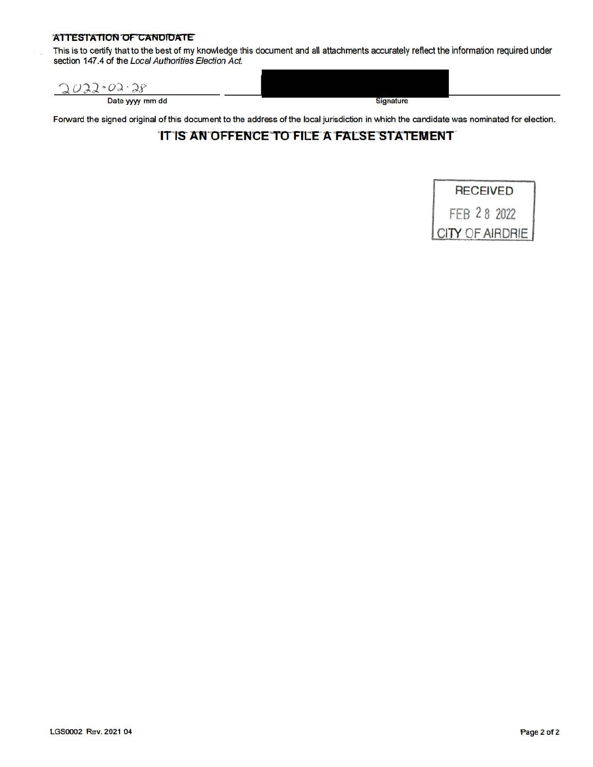#### **ATTESTATION OF CANOIDATE**

This is to certify that to the best of my knowledge this document and all attachments accurately reflect the information required under section 147.4 of the Local Authorities Election Act.

| <b>CA</b><br>cr o<br>œ |           |  |
|------------------------|-----------|--|
| Date yyyy mm dd        | Signature |  |

Forward the signed original of this document to the address of the local jurisdiction in which the candidate was nominated for election.

### IT IS AN OFFENCE TO FILE A FALSE STATEMENT

# RECEIVED FEB 2 8 2022 CITY OF AIRDRIE